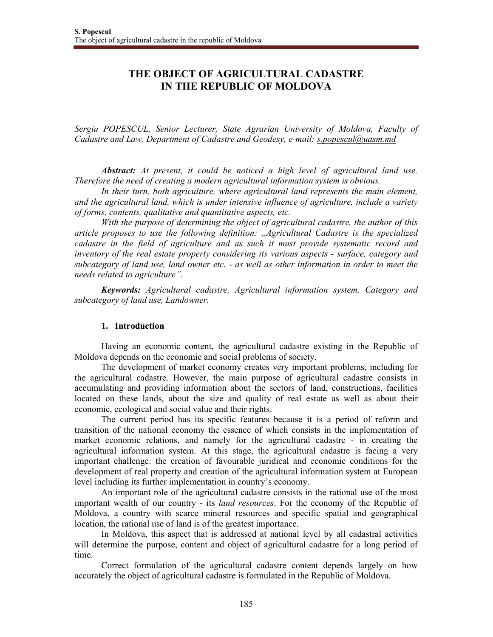# **THE OBJECT OF AGRICULTURAL CADASTRE IN THE REPUBLIC OF MOLDOVA**

*Sergiu POPESCUL, Senior Lecturer, State Agrarian University of Moldova, Faculty of Cadastre and Law, Department of Cadastre and Geodesy, e-mail: s.popescul@uasm.md*

*Abstract: At present, it could be noticed a high level of agricultural land use. Therefore the need of creating a modern agricultural information system is obvious.* 

In their turn, both agriculture, where agricultural land represents the main element, *and the agricultural land, which is under intensive influence of agriculture, include a variety of forms, contents, qualitative and quantitative aspects, etc.* 

*With the purpose of determining the object of agricultural cadastre, the author of this article proposes to use the following definition: "Agricultural Cadastre is the specialized cadastre in the field of agriculture and as such it must provide systematic record and inventory of the real estate property considering its various aspects - surface, category and subcategory of land use, land owner etc. - as well as other information in order to meet the needs related to agriculture".* 

*Keywords: Agricultural cadastre, Agricultural information system, Category and subcategory of land use, Landowner.* 

## **1. Introduction**

Having an economic content, the agricultural cadastre existing in the Republic of Moldova depends on the economic and social problems of society.

The development of market economy creates very important problems, including for the agricultural cadastre. However, the main purpose of agricultural cadastre consists in accumulating and providing information about the sectors of land, constructions, facilities located on these lands, about the size and quality of real estate as well as about their economic, ecological and social value and their rights.

The current period has its specific features because it is a period of reform and transition of the national economy the essence of which consists in the implementation of market economic relations, and namely for the agricultural cadastre - in creating the agricultural information system. At this stage, the agricultural cadastre is facing a very important challenge: the creation of favourable juridical and economic conditions for the development of real property and creation of the agricultural information system at European level including its further implementation in country's economy.

An important role of the agricultural cadastre consists in the rational use of the most important wealth of our country - its *land resources*. For the economy of the Republic of Moldova, a country with scarce mineral resources and specific spatial and geographical location, the rational use of land is of the greatest importance.

In Moldova, this aspect that is addressed at national level by all cadastral activities will determine the purpose, content and object of agricultural cadastre for a long period of time.

Correct formulation of the agricultural cadastre content depends largely on how accurately the object of agricultural cadastre is formulated in the Republic of Moldova.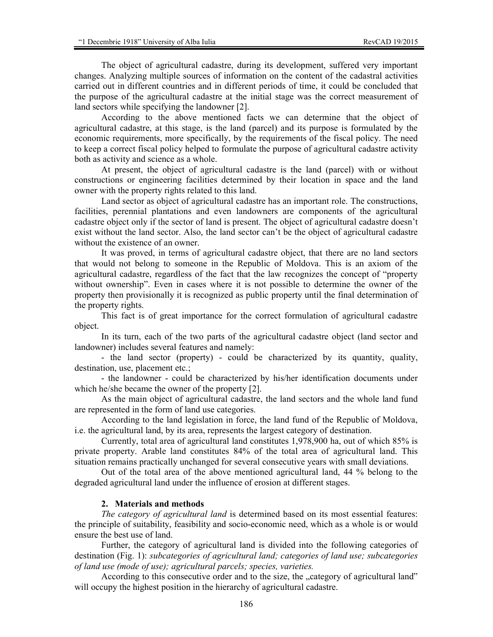The object of agricultural cadastre, during its development, suffered very important changes. Analyzing multiple sources of information on the content of the cadastral activities carried out in different countries and in different periods of time, it could be concluded that the purpose of the agricultural cadastre at the initial stage was the correct measurement of land sectors while specifying the landowner [2].

According to the above mentioned facts we can determine that the object of agricultural cadastre, at this stage, is the land (parcel) and its purpose is formulated by the economic requirements, more specifically, by the requirements of the fiscal policy. The need to keep a correct fiscal policy helped to formulate the purpose of agricultural cadastre activity both as activity and science as a whole.

At present, the object of agricultural cadastre is the land (parcel) with or without constructions or engineering facilities determined by their location in space and the land owner with the property rights related to this land.

Land sector as object of agricultural cadastre has an important role. The constructions, facilities, perennial plantations and even landowners are components of the agricultural cadastre object only if the sector of land is present. The object of agricultural cadastre doesn't exist without the land sector. Also, the land sector can't be the object of agricultural cadastre without the existence of an owner.

It was proved, in terms of agricultural cadastre object, that there are no land sectors that would not belong to someone in the Republic of Moldova. This is an axiom of the agricultural cadastre, regardless of the fact that the law recognizes the concept of "property without ownership". Even in cases where it is not possible to determine the owner of the property then provisionally it is recognized as public property until the final determination of the property rights.

This fact is of great importance for the correct formulation of agricultural cadastre object.

In its turn, each of the two parts of the agricultural cadastre object (land sector and landowner) includes several features and namely:

- the land sector (property) - could be characterized by its quantity, quality, destination, use, placement etc.;

- the landowner - could be characterized by his/her identification documents under which he/she became the owner of the property [2].

As the main object of agricultural cadastre, the land sectors and the whole land fund are represented in the form of land use categories.

According to the land legislation in force, the land fund of the Republic of Moldova, i.e. the agricultural land, by its area, represents the largest category of destination.

Currently, total area of agricultural land constitutes 1,978,900 ha, out of which 85% is private property. Arable land constitutes 84% of the total area of agricultural land. This situation remains practically unchanged for several consecutive years with small deviations.

Out of the total area of the above mentioned agricultural land, 44 % belong to the degraded agricultural land under the influence of erosion at different stages.

### **2. Materials and methods**

*The category of agricultural land* is determined based on its most essential features: the principle of suitability, feasibility and socio-economic need, which as a whole is or would ensure the best use of land.

Further, the category of agricultural land is divided into the following categories of destination (Fig. 1): *subcategories of agricultural land; categories of land use; subcategories of land use (mode of use); agricultural parcels; species, varieties.* 

According to this consecutive order and to the size, the "category of agricultural land" will occupy the highest position in the hierarchy of agricultural cadastre.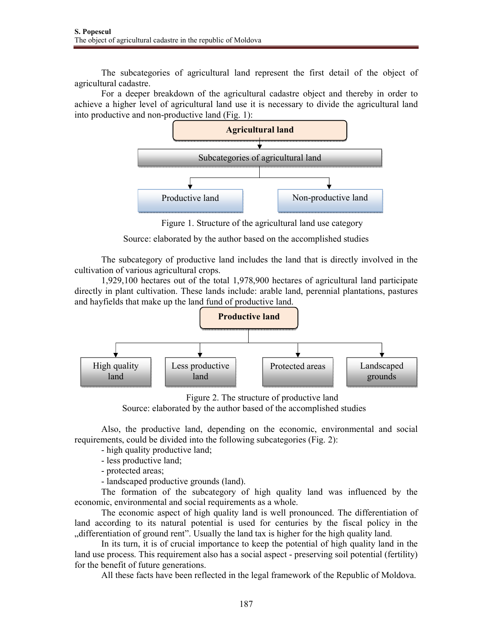The subcategories of agricultural land represent the first detail of the object of agricultural cadastre.

For a deeper breakdown of the agricultural cadastre object and thereby in order to achieve a higher level of agricultural land use it is necessary to divide the agricultural land into productive and non-productive land (Fig. 1):



Figure 1. Structure of the agricultural land use category

Source: elaborated by the author based on the accomplished studies

The subcategory of productive land includes the land that is directly involved in the cultivation of various agricultural crops.

1,929,100 hectares out of the total 1,978,900 hectares of agricultural land participate directly in plant cultivation. These lands include: arable land, perennial plantations, pastures and hayfields that make up the land fund of productive land.



Figure 2. The structure of productive land

Source: elaborated by the author based of the accomplished studies

Also, the productive land, depending on the economic, environmental and social requirements, could be divided into the following subcategories (Fig. 2):

- high quality productive land;

- less productive land;

- protected areas;

- landscaped productive grounds (land).

The formation of the subcategory of high quality land was influenced by the economic, environmental and social requirements as a whole.

The economic aspect of high quality land is well pronounced. The differentiation of land according to its natural potential is used for centuries by the fiscal policy in the "differentiation of ground rent". Usually the land tax is higher for the high quality land.

In its turn, it is of crucial importance to keep the potential of high quality land in the land use process. This requirement also has a social aspect - preserving soil potential (fertility) for the benefit of future generations.

All these facts have been reflected in the legal framework of the Republic of Moldova.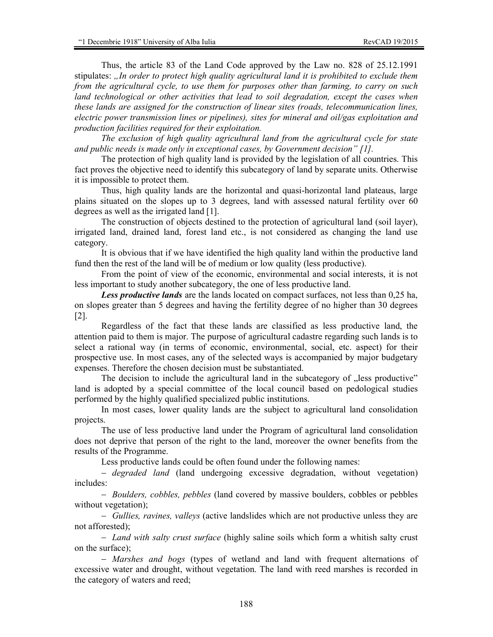Thus, the article 83 of the Land Code approved by the Law no. 828 of 25.12.1991 stipulates: *"In order to protect high quality agricultural land it is prohibited to exclude them from the agricultural cycle, to use them for purposes other than farming, to carry on such*  land technological or other activities that lead to soil degradation, except the cases when *these lands are assigned for the construction of linear sites (roads, telecommunication lines, electric power transmission lines or pipelines), sites for mineral and oil/gas exploitation and production facilities required for their exploitation.* 

*The exclusion of high quality agricultural land from the agricultural cycle for state and public needs is made only in exceptional cases, by Government decision" [1].* 

The protection of high quality land is provided by the legislation of all countries. This fact proves the objective need to identify this subcategory of land by separate units. Otherwise it is impossible to protect them.

Thus, high quality lands are the horizontal and quasi-horizontal land plateaus, large plains situated on the slopes up to 3 degrees, land with assessed natural fertility over 60 degrees as well as the irrigated land [1].

The construction of objects destined to the protection of agricultural land (soil layer), irrigated land, drained land, forest land etc., is not considered as changing the land use category.

It is obvious that if we have identified the high quality land within the productive land fund then the rest of the land will be of medium or low quality (less productive).

From the point of view of the economic, environmental and social interests, it is not less important to study another subcategory, the one of less productive land.

*Less productive lands* are the lands located on compact surfaces, not less than 0,25 ha, on slopes greater than 5 degrees and having the fertility degree of no higher than 30 degrees [2].

Regardless of the fact that these lands are classified as less productive land, the attention paid to them is major. The purpose of agricultural cadastre regarding such lands is to select a rational way (in terms of economic, environmental, social, etc. aspect) for their prospective use. In most cases, any of the selected ways is accompanied by major budgetary expenses. Therefore the chosen decision must be substantiated.

The decision to include the agricultural land in the subcategory of  $n$ , less productive" land is adopted by a special committee of the local council based on pedological studies performed by the highly qualified specialized public institutions.

In most cases, lower quality lands are the subject to agricultural land consolidation projects.

The use of less productive land under the Program of agricultural land consolidation does not deprive that person of the right to the land, moreover the owner benefits from the results of the Programme.

Less productive lands could be often found under the following names:

− *degraded land* (land undergoing excessive degradation, without vegetation) includes:

− *Boulders, cobbles, pebbles* (land covered by massive boulders, cobbles or pebbles without vegetation);

− *Gullies, ravines, valleys* (active landslides which are not productive unless they are not afforested);

− *Land with salty crust surface* (highly saline soils which form a whitish salty crust on the surface);

− *Marshes and bogs* (types of wetland and land with frequent alternations of excessive water and drought, without vegetation. The land with reed marshes is recorded in the category of waters and reed;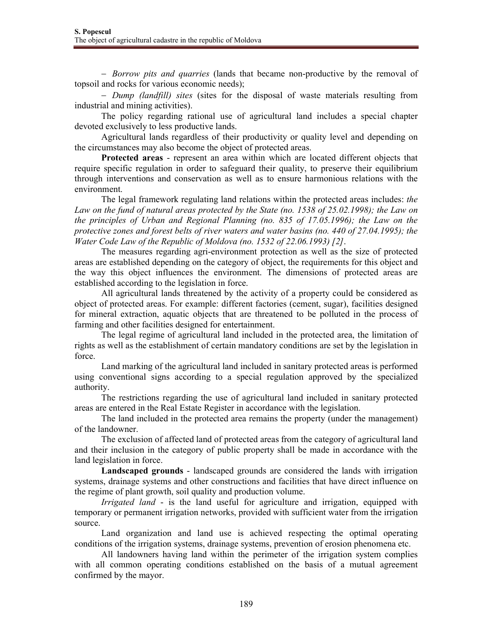− *Borrow pits and quarries* (lands that became non-productive by the removal of topsoil and rocks for various economic needs);

− *Dump (landfill) sites* (sites for the disposal of waste materials resulting from industrial and mining activities).

The policy regarding rational use of agricultural land includes a special chapter devoted exclusively to less productive lands.

Agricultural lands regardless of their productivity or quality level and depending on the circumstances may also become the object of protected areas.

**Protected areas** - represent an area within which are located different objects that require specific regulation in order to safeguard their quality, to preserve their equilibrium through interventions and conservation as well as to ensure harmonious relations with the environment.

The legal framework regulating land relations within the protected areas includes: *the Law on the fund of natural areas protected by the State (no. 1538 of 25.02.1998); the Law on the principles of Urban and Regional Planning (no. 835 of 17.05.1996); the Law on the protective zones and forest belts of river waters and water basins (no. 440 of 27.04.1995); the Water Code Law of the Republic of Moldova (no. 1532 of 22.06.1993) [2]*.

The measures regarding agri-environment protection as well as the size of protected areas are established depending on the category of object, the requirements for this object and the way this object influences the environment. The dimensions of protected areas are established according to the legislation in force.

All agricultural lands threatened by the activity of a property could be considered as object of protected areas. For example: different factories (cement, sugar), facilities designed for mineral extraction, aquatic objects that are threatened to be polluted in the process of farming and other facilities designed for entertainment.

The legal regime of agricultural land included in the protected area, the limitation of rights as well as the establishment of certain mandatory conditions are set by the legislation in force.

Land marking of the agricultural land included in sanitary protected areas is performed using conventional signs according to a special regulation approved by the specialized authority.

The restrictions regarding the use of agricultural land included in sanitary protected areas are entered in the Real Estate Register in accordance with the legislation.

The land included in the protected area remains the property (under the management) of the landowner.

The exclusion of affected land of protected areas from the category of agricultural land and their inclusion in the category of public property shall be made in accordance with the land legislation in force.

**Landscaped grounds** - landscaped grounds are considered the lands with irrigation systems, drainage systems and other constructions and facilities that have direct influence on the regime of plant growth, soil quality and production volume.

*Irrigated land* - is the land useful for agriculture and irrigation, equipped with temporary or permanent irrigation networks, provided with sufficient water from the irrigation source.

Land organization and land use is achieved respecting the optimal operating conditions of the irrigation systems, drainage systems, prevention of erosion phenomena etc.

All landowners having land within the perimeter of the irrigation system complies with all common operating conditions established on the basis of a mutual agreement confirmed by the mayor.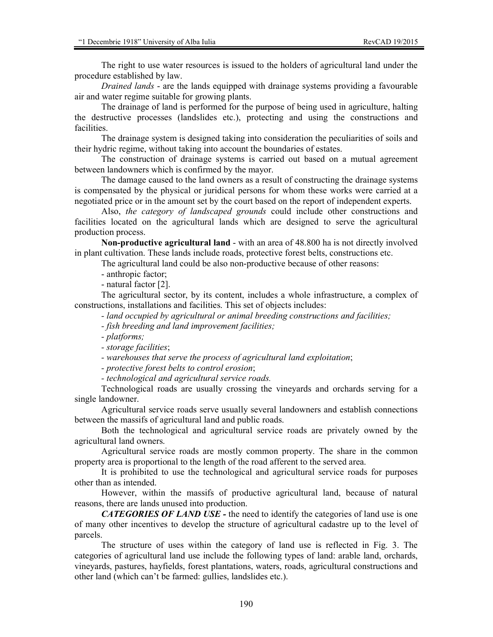The right to use water resources is issued to the holders of agricultural land under the procedure established by law.

*Drained lands* - are the lands equipped with drainage systems providing a favourable air and water regime suitable for growing plants.

The drainage of land is performed for the purpose of being used in agriculture, halting the destructive processes (landslides etc.), protecting and using the constructions and **facilities** 

The drainage system is designed taking into consideration the peculiarities of soils and their hydric regime, without taking into account the boundaries of estates.

The construction of drainage systems is carried out based on a mutual agreement between landowners which is confirmed by the mayor.

The damage caused to the land owners as a result of constructing the drainage systems is compensated by the physical or juridical persons for whom these works were carried at a negotiated price or in the amount set by the court based on the report of independent experts.

Also, *the category of landscaped grounds* could include other constructions and facilities located on the agricultural lands which are designed to serve the agricultural production process.

**Non-productive agricultural land** - with an area of 48.800 ha is not directly involved in plant cultivation. These lands include roads, protective forest belts, constructions etc.

The agricultural land could be also non-productive because of other reasons:

- anthropic factor;

- natural factor [2].

The agricultural sector, by its content, includes a whole infrastructure, a complex of constructions, installations and facilities. This set of objects includes:

*- land occupied by agricultural or animal breeding constructions and facilities;* 

*- fish breeding and land improvement facilities;* 

*- platforms;* 

*- storage facilities*;

*- warehouses that serve the process of agricultural land exploitation*;

*- protective forest belts to control erosion*;

*- technological and agricultural service roads.* 

Technological roads are usually crossing the vineyards and orchards serving for a single landowner.

Agricultural service roads serve usually several landowners and establish connections between the massifs of agricultural land and public roads.

Both the technological and agricultural service roads are privately owned by the agricultural land owners.

Agricultural service roads are mostly common property. The share in the common property area is proportional to the length of the road afferent to the served area.

It is prohibited to use the technological and agricultural service roads for purposes other than as intended.

However, within the massifs of productive agricultural land, because of natural reasons, there are lands unused into production.

*CATEGORIES OF LAND USE -* the need to identify the categories of land use is one of many other incentives to develop the structure of agricultural cadastre up to the level of parcels.

The structure of uses within the category of land use is reflected in Fig. 3. The categories of agricultural land use include the following types of land: arable land, orchards, vineyards, pastures, hayfields, forest plantations, waters, roads, agricultural constructions and other land (which can't be farmed: gullies, landslides etc.).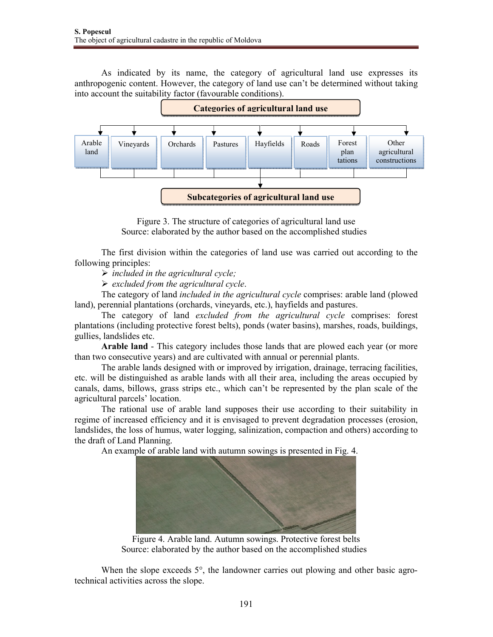As indicated by its name, the category of agricultural land use expresses its anthropogenic content. However, the category of land use can't be determined without taking into account the suitability factor (favourable conditions).



Figure 3. The structure of categories of agricultural land use Source: elaborated by the author based on the accomplished studies

The first division within the categories of land use was carried out according to the following principles:

*included in the agricultural cycle;* 

*excluded from the agricultural cycle*.

The category of land *included in the agricultural cycle* comprises: arable land (plowed land), perennial plantations (orchards, vineyards, etc.), hayfields and pastures.

The category of land *excluded from the agricultural cycle* comprises: forest plantations (including protective forest belts), ponds (water basins), marshes, roads, buildings, gullies, landslides etc.

**Arable land** - This category includes those lands that are plowed each year (or more than two consecutive years) and are cultivated with annual or perennial plants.

The arable lands designed with or improved by irrigation, drainage, terracing facilities, etc. will be distinguished as arable lands with all their area, including the areas occupied by canals, dams, billows, grass strips etc., which can't be represented by the plan scale of the agricultural parcels' location.

The rational use of arable land supposes their use according to their suitability in regime of increased efficiency and it is envisaged to prevent degradation processes (erosion, landslides, the loss of humus, water logging, salinization, compaction and others) according to the draft of Land Planning.

An example of arable land with autumn sowings is presented in Fig. 4.



Figure 4. Arable land. Autumn sowings. Protective forest belts Source: elaborated by the author based on the accomplished studies

When the slope exceeds 5°, the landowner carries out plowing and other basic agrotechnical activities across the slope.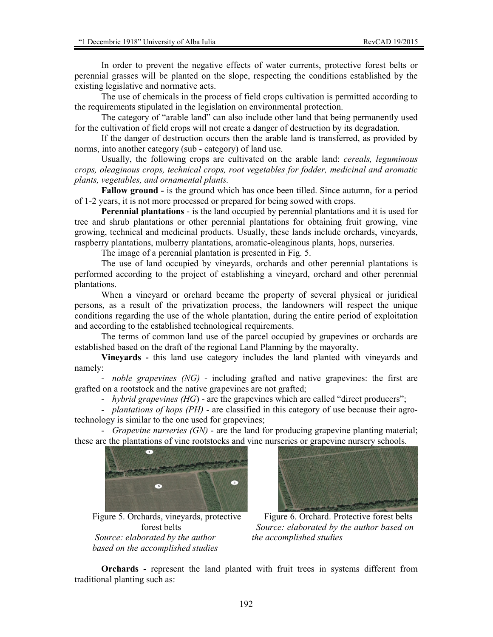In order to prevent the negative effects of water currents, protective forest belts or perennial grasses will be planted on the slope, respecting the conditions established by the existing legislative and normative acts.

The use of chemicals in the process of field crops cultivation is permitted according to the requirements stipulated in the legislation on environmental protection.

The category of "arable land" can also include other land that being permanently used for the cultivation of field crops will not create a danger of destruction by its degradation.

If the danger of destruction occurs then the arable land is transferred, as provided by norms, into another category (sub - category) of land use.

Usually, the following crops are cultivated on the arable land: *cereals, leguminous crops, oleaginous crops, technical crops, root vegetables for fodder, medicinal and aromatic plants, vegetables, and ornamental plants.* 

**Fallow ground -** is the ground which has once been tilled. Since autumn, for a period of 1-2 years, it is not more processed or prepared for being sowed with crops.

**Perennial plantations** - is the land occupied by perennial plantations and it is used for tree and shrub plantations or other perennial plantations for obtaining fruit growing, vine growing, technical and medicinal products. Usually, these lands include orchards, vineyards, raspberry plantations, mulberry plantations, aromatic-oleaginous plants, hops, nurseries.

The image of a perennial plantation is presented in Fig. 5.

The use of land occupied by vineyards, orchards and other perennial plantations is performed according to the project of establishing a vineyard, orchard and other perennial plantations.

When a vineyard or orchard became the property of several physical or juridical persons, as a result of the privatization process, the landowners will respect the unique conditions regarding the use of the whole plantation, during the entire period of exploitation and according to the established technological requirements.

The terms of common land use of the parcel occupied by grapevines or orchards are established based on the draft of the regional Land Planning by the mayoralty.

**Vineyards -** this land use category includes the land planted with vineyards and namely:

- *noble grapevines (NG)* - including grafted and native grapevines: the first are grafted on a rootstock and the native grapevines are not grafted;

- *hybrid grapevines (HG*) - are the grapevines which are called "direct producers";

- *plantations of hops (PH)* - are classified in this category of use because their agrotechnology is similar to the one used for grapevines;

- *Grapevine nurseries (GN)* - are the land for producing grapevine planting material; these are the plantations of vine rootstocks and vine nurseries or grapevine nursery schools.



 Figure 5. Orchards, vineyards, protective forest belts  *Source: elaborated by the author based on the accomplished studies* 



 Figure 6. Orchard. Protective forest belts  *Source: elaborated by the author based on the accomplished studies* 

**Orchards -** represent the land planted with fruit trees in systems different from traditional planting such as: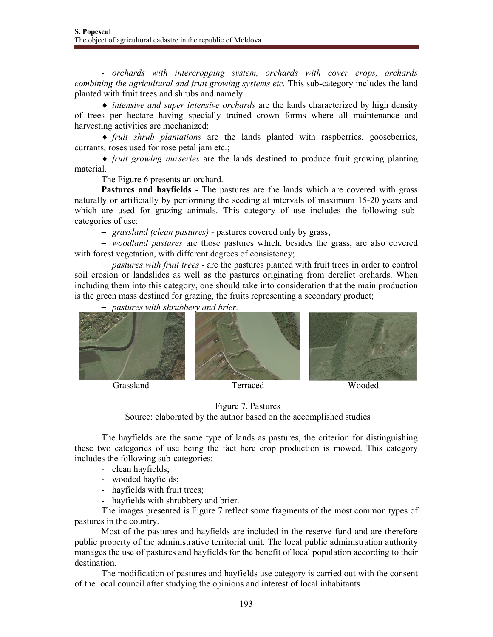- *orchards with intercropping system, orchards with cover crops, orchards combining the agricultural and fruit growing systems etc.* This sub-category includes the land planted with fruit trees and shrubs and namely:

♦ *intensive and super intensive orchards* are the lands characterized by high density of trees per hectare having specially trained crown forms where all maintenance and harvesting activities are mechanized;

♦ *fruit shrub plantations* are the lands planted with raspberries, gooseberries, currants, roses used for rose petal jam etc.;

♦ *fruit growing nurseries* are the lands destined to produce fruit growing planting material.

The Figure 6 presents an orchard.

**Pastures and hayfields** - The pastures are the lands which are covered with grass naturally or artificially by performing the seeding at intervals of maximum 15-20 years and which are used for grazing animals. This category of use includes the following subcategories of use:

− *grassland (clean pastures)* - pastures covered only by grass;

− *woodland pastures* are those pastures which, besides the grass, are also covered with forest vegetation, with different degrees of consistency;

− *pastures with fruit trees* - are the pastures planted with fruit trees in order to control soil erosion or landslides as well as the pastures originating from derelict orchards. When including them into this category, one should take into consideration that the main production is the green mass destined for grazing, the fruits representing a secondary product;

− *pastures with shrubbery and brier.* 



![](_page_8_Figure_15.jpeg)

Source: elaborated by the author based on the accomplished studies

The hayfields are the same type of lands as pastures, the criterion for distinguishing these two categories of use being the fact here crop production is mowed. This category includes the following sub-categories:

- clean hayfields;
- wooded hayfields;
- hayfields with fruit trees;
- hayfields with shrubbery and brier.

The images presented is Figure 7 reflect some fragments of the most common types of pastures in the country.

Most of the pastures and hayfields are included in the reserve fund and are therefore public property of the administrative territorial unit. The local public administration authority manages the use of pastures and hayfields for the benefit of local population according to their destination.

The modification of pastures and hayfields use category is carried out with the consent of the local council after studying the opinions and interest of local inhabitants.